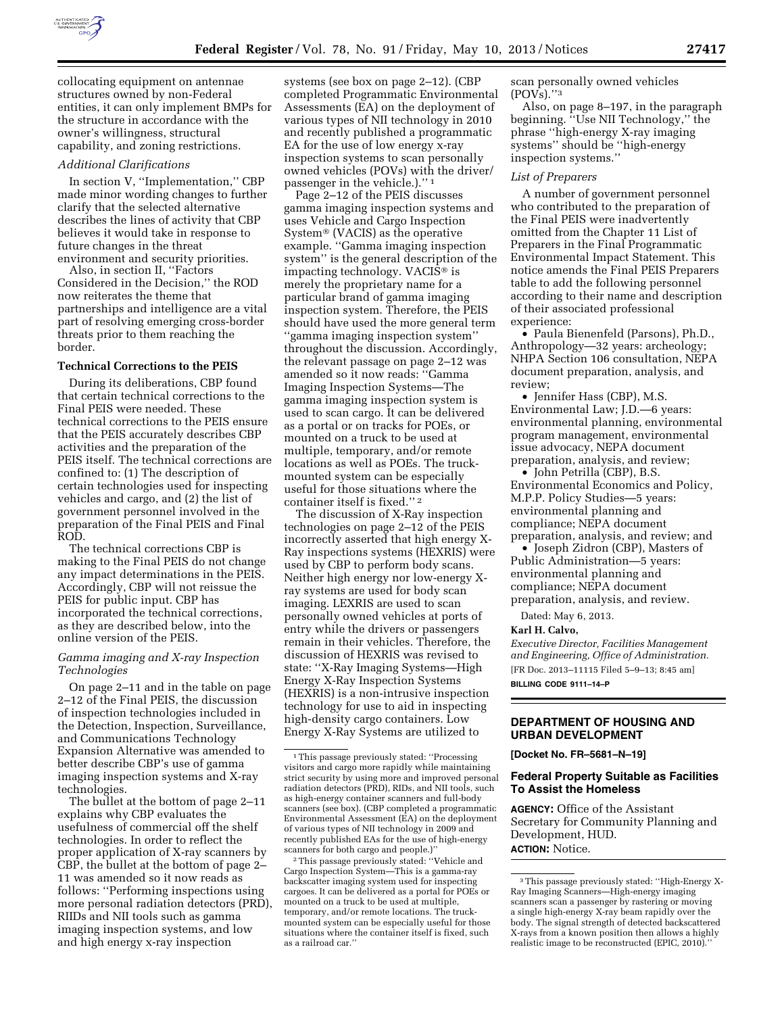

collocating equipment on antennae structures owned by non-Federal entities, it can only implement BMPs for the structure in accordance with the owner's willingness, structural capability, and zoning restrictions.

#### *Additional Clarifications*

In section V, ''Implementation,'' CBP made minor wording changes to further clarify that the selected alternative describes the lines of activity that CBP believes it would take in response to future changes in the threat environment and security priorities.

Also, in section II, ''Factors Considered in the Decision,'' the ROD now reiterates the theme that partnerships and intelligence are a vital part of resolving emerging cross-border threats prior to them reaching the border.

# **Technical Corrections to the PEIS**

During its deliberations, CBP found that certain technical corrections to the Final PEIS were needed. These technical corrections to the PEIS ensure that the PEIS accurately describes CBP activities and the preparation of the PEIS itself. The technical corrections are confined to: (1) The description of certain technologies used for inspecting vehicles and cargo, and (2) the list of government personnel involved in the preparation of the Final PEIS and Final ROD.

The technical corrections CBP is making to the Final PEIS do not change any impact determinations in the PEIS. Accordingly, CBP will not reissue the PEIS for public input. CBP has incorporated the technical corrections, as they are described below, into the online version of the PEIS.

## *Gamma imaging and X-ray Inspection Technologies*

On page 2–11 and in the table on page 2–12 of the Final PEIS, the discussion of inspection technologies included in the Detection, Inspection, Surveillance, and Communications Technology Expansion Alternative was amended to better describe CBP's use of gamma imaging inspection systems and X-ray technologies.

The bullet at the bottom of page 2–11 explains why CBP evaluates the usefulness of commercial off the shelf technologies. In order to reflect the proper application of X-ray scanners by CBP, the bullet at the bottom of page 2– 11 was amended so it now reads as follows: ''Performing inspections using more personal radiation detectors (PRD), RIIDs and NII tools such as gamma imaging inspection systems, and low and high energy x-ray inspection

systems (see box on page 2–12). (CBP completed Programmatic Environmental Assessments (EA) on the deployment of various types of NII technology in 2010 and recently published a programmatic EA for the use of low energy x-ray inspection systems to scan personally owned vehicles (POVs) with the driver/ passenger in the vehicle.)."<sup>1</sup>

Page 2–12 of the PEIS discusses gamma imaging inspection systems and uses Vehicle and Cargo Inspection System® (VACIS) as the operative example. ''Gamma imaging inspection system'' is the general description of the impacting technology. VACIS® is merely the proprietary name for a particular brand of gamma imaging inspection system. Therefore, the PEIS should have used the more general term ''gamma imaging inspection system'' throughout the discussion. Accordingly, the relevant passage on page 2–12 was amended so it now reads: ''Gamma Imaging Inspection Systems—The gamma imaging inspection system is used to scan cargo. It can be delivered as a portal or on tracks for POEs, or mounted on a truck to be used at multiple, temporary, and/or remote locations as well as POEs. The truckmounted system can be especially useful for those situations where the container itself is fixed.'' 2

The discussion of X-Ray inspection technologies on page 2–12 of the PEIS incorrectly asserted that high energy X-Ray inspections systems (HEXRIS) were used by CBP to perform body scans. Neither high energy nor low-energy Xray systems are used for body scan imaging. LEXRIS are used to scan personally owned vehicles at ports of entry while the drivers or passengers remain in their vehicles. Therefore, the discussion of HEXRIS was revised to state: ''X-Ray Imaging Systems—High Energy X-Ray Inspection Systems (HEXRIS) is a non-intrusive inspection technology for use to aid in inspecting high-density cargo containers. Low Energy X-Ray Systems are utilized to

2This passage previously stated: ''Vehicle and Cargo Inspection System—This is a gamma-ray backscatter imaging system used for inspecting cargoes. It can be delivered as a portal for POEs or mounted on a truck to be used at multiple, temporary, and/or remote locations. The truckmounted system can be especially useful for those situations where the container itself is fixed, such as a railroad car.''

scan personally owned vehicles  $(POVs).$ "<sup>3</sup>

Also, on page 8–197, in the paragraph beginning. ''Use NII Technology,'' the phrase ''high-energy X-ray imaging systems'' should be ''high-energy inspection systems.''

#### *List of Preparers*

A number of government personnel who contributed to the preparation of the Final PEIS were inadvertently omitted from the Chapter 11 List of Preparers in the Final Programmatic Environmental Impact Statement. This notice amends the Final PEIS Preparers table to add the following personnel according to their name and description of their associated professional experience:

• Paula Bienenfeld (Parsons), Ph.D., Anthropology—32 years: archeology; NHPA Section 106 consultation, NEPA document preparation, analysis, and review;

• Jennifer Hass (CBP), M.S. Environmental Law; J.D.—6 years: environmental planning, environmental program management, environmental issue advocacy, NEPA document preparation, analysis, and review;

• John Petrilla (CBP), B.S. Environmental Economics and Policy, M.P.P. Policy Studies—5 years: environmental planning and compliance; NEPA document preparation, analysis, and review; and

• Joseph Zidron (CBP), Masters of Public Administration—5 years: environmental planning and compliance; NEPA document preparation, analysis, and review.

Dated: May 6, 2013.

#### **Karl H. Calvo,**

*Executive Director, Facilities Management and Engineering, Office of Administration.*  [FR Doc. 2013–11115 Filed 5–9–13; 8:45 am] **BILLING CODE 9111–14–P** 

# **DEPARTMENT OF HOUSING AND URBAN DEVELOPMENT**

**[Docket No. FR–5681–N–19]** 

## **Federal Property Suitable as Facilities To Assist the Homeless**

**AGENCY:** Office of the Assistant Secretary for Community Planning and Development, HUD. **ACTION:** Notice.

<sup>1</sup>This passage previously stated: ''Processing visitors and cargo more rapidly while maintaining strict security by using more and improved personal radiation detectors (PRD), RIDs, and NII tools, such as high-energy container scanners and full-body scanners (see box). (CBP completed a programmatic Environmental Assessment (EA) on the deployment of various types of NII technology in 2009 and recently published EAs for the use of high-energy scanners for both cargo and people.)''

<sup>3</sup>This passage previously stated: ''High-Energy X-Ray Imaging Scanners—High-energy imaging scanners scan a passenger by rastering or moving a single high-energy X-ray beam rapidly over the body. The signal strength of detected backscattered X-rays from a known position then allows a highly realistic image to be reconstructed (EPIC, 2010).''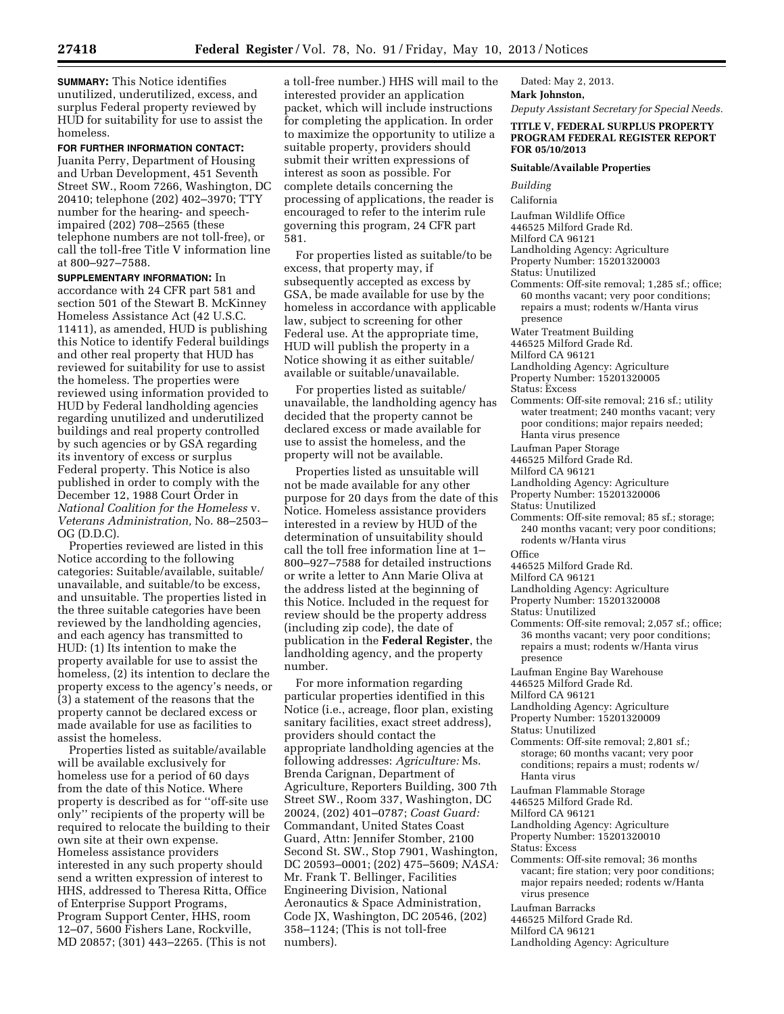**SUMMARY:** This Notice identifies unutilized, underutilized, excess, and surplus Federal property reviewed by HUD for suitability for use to assist the homeless.

**FOR FURTHER INFORMATION CONTACT:**  Juanita Perry, Department of Housing and Urban Development, 451 Seventh Street SW., Room 7266, Washington, DC 20410; telephone (202) 402–3970; TTY number for the hearing- and speechimpaired (202) 708–2565 (these telephone numbers are not toll-free), or call the toll-free Title V information line at 800–927–7588.

**SUPPLEMENTARY INFORMATION:** In accordance with 24 CFR part 581 and section 501 of the Stewart B. McKinney Homeless Assistance Act (42 U.S.C. 11411), as amended, HUD is publishing this Notice to identify Federal buildings and other real property that HUD has reviewed for suitability for use to assist the homeless. The properties were reviewed using information provided to HUD by Federal landholding agencies regarding unutilized and underutilized buildings and real property controlled by such agencies or by GSA regarding its inventory of excess or surplus Federal property. This Notice is also published in order to comply with the December 12, 1988 Court Order in *National Coalition for the Homeless* v. *Veterans Administration,* No. 88–2503– OG (D.D.C).

Properties reviewed are listed in this Notice according to the following categories: Suitable/available, suitable/ unavailable, and suitable/to be excess, and unsuitable. The properties listed in the three suitable categories have been reviewed by the landholding agencies, and each agency has transmitted to HUD: (1) Its intention to make the property available for use to assist the homeless, (2) its intention to declare the property excess to the agency's needs, or (3) a statement of the reasons that the property cannot be declared excess or made available for use as facilities to assist the homeless.

Properties listed as suitable/available will be available exclusively for homeless use for a period of 60 days from the date of this Notice. Where property is described as for ''off-site use only'' recipients of the property will be required to relocate the building to their own site at their own expense. Homeless assistance providers interested in any such property should send a written expression of interest to HHS, addressed to Theresa Ritta, Office of Enterprise Support Programs, Program Support Center, HHS, room 12–07, 5600 Fishers Lane, Rockville, MD 20857; (301) 443–2265. (This is not

a toll-free number.) HHS will mail to the interested provider an application packet, which will include instructions for completing the application. In order to maximize the opportunity to utilize a suitable property, providers should submit their written expressions of interest as soon as possible. For complete details concerning the processing of applications, the reader is encouraged to refer to the interim rule governing this program, 24 CFR part 581.

For properties listed as suitable/to be excess, that property may, if subsequently accepted as excess by GSA, be made available for use by the homeless in accordance with applicable law, subject to screening for other Federal use. At the appropriate time, HUD will publish the property in a Notice showing it as either suitable/ available or suitable/unavailable.

For properties listed as suitable/ unavailable, the landholding agency has decided that the property cannot be declared excess or made available for use to assist the homeless, and the property will not be available.

Properties listed as unsuitable will not be made available for any other purpose for 20 days from the date of this Notice. Homeless assistance providers interested in a review by HUD of the determination of unsuitability should call the toll free information line at 1– 800–927–7588 for detailed instructions or write a letter to Ann Marie Oliva at the address listed at the beginning of this Notice. Included in the request for review should be the property address (including zip code), the date of publication in the **Federal Register**, the landholding agency, and the property number.

For more information regarding particular properties identified in this Notice (i.e., acreage, floor plan, existing sanitary facilities, exact street address), providers should contact the appropriate landholding agencies at the following addresses: *Agriculture:* Ms. Brenda Carignan, Department of Agriculture, Reporters Building, 300 7th Street SW., Room 337, Washington, DC 20024, (202) 401–0787; *Coast Guard:*  Commandant, United States Coast Guard, Attn: Jennifer Stomber, 2100 Second St. SW., Stop 7901, Washington, DC 20593–0001; (202) 475–5609; *NASA:*  Mr. Frank T. Bellinger, Facilities Engineering Division, National Aeronautics & Space Administration, Code JX, Washington, DC 20546, (202) 358–1124; (This is not toll-free numbers).

Dated: May 2, 2013.

**Mark Johnston,** 

*Deputy Assistant Secretary for Special Needs.* 

## **TITLE V, FEDERAL SURPLUS PROPERTY PROGRAM FEDERAL REGISTER REPORT FOR 05/10/2013**

### **Suitable/Available Properties**

*Building*  California Laufman Wildlife Office 446525 Milford Grade Rd. Milford CA 96121 Landholding Agency: Agriculture Property Number: 15201320003 Status: Unutilized Comments: Off-site removal; 1,285 sf.; office; 60 months vacant; very poor conditions; repairs a must; rodents w/Hanta virus presence Water Treatment Building 446525 Milford Grade Rd. Milford CA 96121 Landholding Agency: Agriculture Property Number: 15201320005 Status: Excess Comments: Off-site removal; 216 sf.; utility water treatment; 240 months vacant; very poor conditions; major repairs needed; Hanta virus presence Laufman Paper Storage 446525 Milford Grade Rd. Milford CA 96121 Landholding Agency: Agriculture Property Number: 15201320006 Status: Unutilized Comments: Off-site removal; 85 sf.; storage; 240 months vacant; very poor conditions; rodents w/Hanta virus **Office** 446525 Milford Grade Rd. Milford CA 96121 Landholding Agency: Agriculture Property Number: 15201320008 Status: Unutilized Comments: Off-site removal; 2,057 sf.; office; 36 months vacant; very poor conditions; repairs a must; rodents w/Hanta virus presence Laufman Engine Bay Warehouse 446525 Milford Grade Rd. Milford CA 96121 Landholding Agency: Agriculture Property Number: 15201320009 Status: Unutilized Comments: Off-site removal; 2,801 sf.; storage; 60 months vacant; very poor conditions; repairs a must; rodents w/ Hanta virus Laufman Flammable Storage 446525 Milford Grade Rd.

- Milford CA 96121
- Landholding Agency: Agriculture
- Property Number: 15201320010
- Status: Excess
- Comments: Off-site removal; 36 months vacant; fire station; very poor conditions; major repairs needed; rodents w/Hanta virus presence
- Laufman Barracks
- 446525 Milford Grade Rd.
- Milford CA 96121
- Landholding Agency: Agriculture